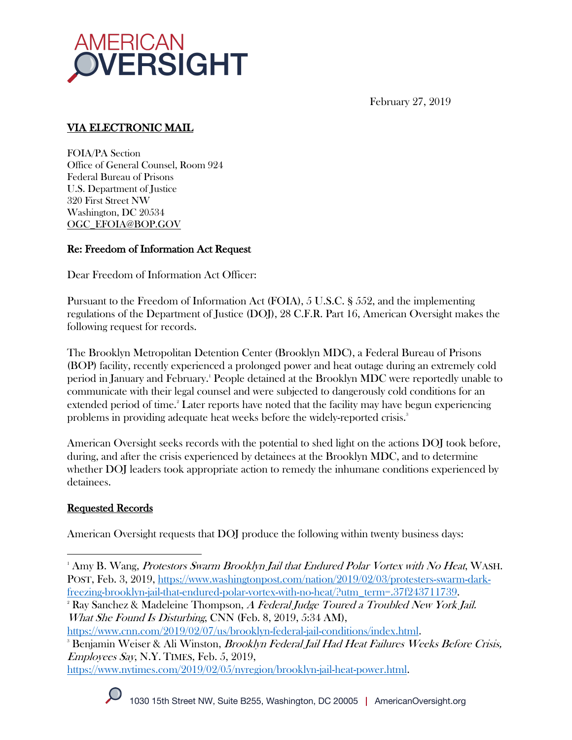

February 27, 2019

# VIA ELECTRONIC MAIL

FOIA/PA Section Office of General Counsel, Room 924 Federal Bureau of Prisons U.S. Department of Justice 320 First Street NW Washington, DC 20534 OGC\_EFOIA@BOP.GOV

### Re: Freedom of Information Act Request

Dear Freedom of Information Act Officer:

Pursuant to the Freedom of Information Act (FOIA), 5 U.S.C. § 552, and the implementing regulations of the Department of Justice (DOJ), 28 C.F.R. Part 16, American Oversight makes the following request for records.

The Brooklyn Metropolitan Detention Center (Brooklyn MDC), a Federal Bureau of Prisons (BOP) facility, recently experienced a prolonged power and heat outage during an extremely cold period in January and February.1 People detained at the Brooklyn MDC were reportedly unable to communicate with their legal counsel and were subjected to dangerously cold conditions for an extended period of time. 2 Later reports have noted that the facility may have begun experiencing problems in providing adequate heat weeks before the widely-reported crisis.<sup>3</sup>

American Oversight seeks records with the potential to shed light on the actions DOJ took before, during, and after the crisis experienced by detainees at the Brooklyn MDC, and to determine whether DOJ leaders took appropriate action to remedy the inhumane conditions experienced by detainees.

### Requested Records

 $\overline{a}$ 

American Oversight requests that DOJ produce the following within twenty business days:

 $R^2$  Ray Sanchez & Madeleine Thompson, A Federal Judge Toured a Troubled New York Jail. What She Found Is Disturbing, CNN (Feb. 8, 2019, 5:34 AM),

https://www.nytimes.com/2019/02/05/nyregion/brooklyn-jail-heat-power.html.



 $^{\rm _1}$  Amy B. Wang, *Protestors Swarm Brooklyn Jail that Endured Polar Vortex with No Heat*, WASH. POST, Feb. 3, 2019, https://www.washingtonpost.com/nation/2019/02/03/protesters-swarm-darkfreezing-brooklyn-jail-that-endured-polar-vortex-with-no-heat/?utm\_term=.37f243711739. 2

https://www.cnn.com/2019/02/07/us/brooklyn-federal-jail-conditions/index.html. 3

<sup>&</sup>lt;sup>3</sup> Benjamin Weiser & Ali Winston, *Brooklyn Federal Jail Had Heat Failures Weeks Before Crisis,* Employees Say, N.Y. TIMES, Feb. 5, 2019,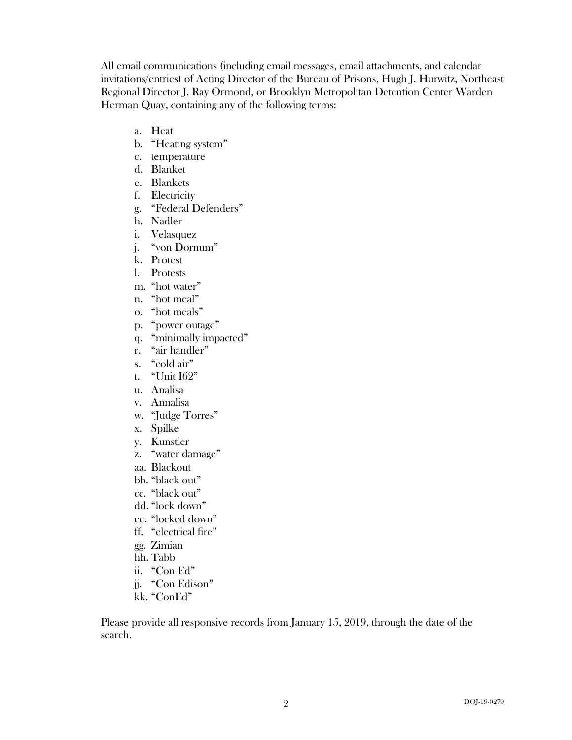All email communications (including email messages, email attachments, and calendar invitations/entries) of Acting Director of the Bureau of Prisons, Hugh J. Hurwitz, Northeast Regional Director J. Ray Ormond, or Brooklyn Metropolitan Detention Center Warden Herman Quay, containing any of the following terms:

- a. Heat
- b. "Heating system"
- c. temperature
- d. Blanket
- e. Blankets
- f. Electricity
- g. "Federal Defenders"
- h. Nadler
- i. Velasquez
- j. "von Dornum"
- k. Protest
- l. Protests
- m. "hot water"
- n. "hot meal"
- o. "hot meals"
- p. "power outage"
- q. "minimally impacted"
- r. "air handler"
- s. "cold air"
- t. "Unit I62"
- u. Analisa
- v. Annalisa
- w. "Judge Torres"
- x. Spilke
- y. Kunstler
- z. "water damage"
- aa. Blackout
- bb. "black-out"
- cc. "black out"
- dd. "lock down"
- ee. "locked down"
- ff. "electrical fire"
- gg. Zimian
- hh. Tabb
- ii. "Con Ed"
- jj. "Con Edison"
- kk. "ConEd"

Please provide all responsive records from January 15, 2019, through the date of the search.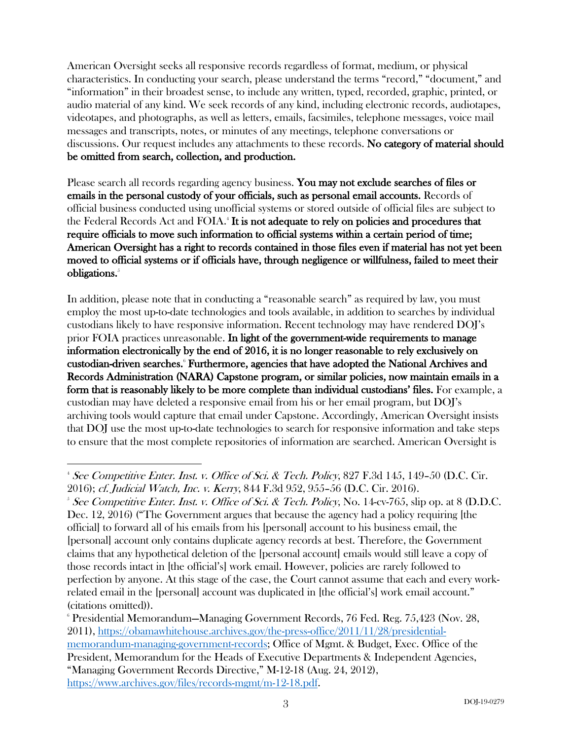American Oversight seeks all responsive records regardless of format, medium, or physical characteristics. In conducting your search, please understand the terms "record," "document," and "information" in their broadest sense, to include any written, typed, recorded, graphic, printed, or audio material of any kind. We seek records of any kind, including electronic records, audiotapes, videotapes, and photographs, as well as letters, emails, facsimiles, telephone messages, voice mail messages and transcripts, notes, or minutes of any meetings, telephone conversations or discussions. Our request includes any attachments to these records. No category of material should be omitted from search, collection, and production.

Please search all records regarding agency business. You may not exclude searches of files or emails in the personal custody of your officials, such as personal email accounts. Records of official business conducted using unofficial systems or stored outside of official files are subject to the Federal Records Act and FOIA.<sup>4</sup> It is not adequate to rely on policies and procedures that require officials to move such information to official systems within a certain period of time; American Oversight has a right to records contained in those files even if material has not yet been moved to official systems or if officials have, through negligence or willfulness, failed to meet their obligations.<sup>5</sup>

In addition, please note that in conducting a "reasonable search" as required by law, you must employ the most up-to-date technologies and tools available, in addition to searches by individual custodians likely to have responsive information. Recent technology may have rendered DOJ's prior FOIA practices unreasonable. In light of the government-wide requirements to manage information electronically by the end of 2016, it is no longer reasonable to rely exclusively on custodian-driven searches.<sup>6</sup> Furthermore, agencies that have adopted the National Archives and Records Administration (NARA) Capstone program, or similar policies, now maintain emails in a form that is reasonably likely to be more complete than individual custodians' files. For example, a custodian may have deleted a responsive email from his or her email program, but DOJ's archiving tools would capture that email under Capstone. Accordingly, American Oversight insists that DOJ use the most up-to-date technologies to search for responsive information and take steps to ensure that the most complete repositories of information are searched. American Oversight is

 $\overline{a}$ 

<sup>&</sup>lt;sup>4</sup> See Competitive Enter. Inst. v. Office of Sci. & Tech. Policy, 827 F.3d 145, 149–50 (D.C. Cir. 2016); cf. Judicial Watch, Inc. v. Kerry, 844 F.3d 952, 955–56 (D.C. Cir. 2016). 5

<sup>&</sup>lt;sup>5</sup> See Competitive Enter. Inst. v. Office of Sci. & Tech. Policy, No. 14-cv-765, slip op. at 8 (D.D.C. Dec. 12, 2016) ("The Government argues that because the agency had a policy requiring [the official] to forward all of his emails from his [personal] account to his business email, the [personal] account only contains duplicate agency records at best. Therefore, the Government claims that any hypothetical deletion of the [personal account] emails would still leave a copy of those records intact in [the official's] work email. However, policies are rarely followed to perfection by anyone. At this stage of the case, the Court cannot assume that each and every workrelated email in the [personal] account was duplicated in [the official's] work email account." (citations omitted)).

<sup>6</sup> Presidential Memorandum—Managing Government Records, 76 Fed. Reg. 75,423 (Nov. 28, 2011), https://obamawhitehouse.archives.gov/the-press-office/2011/11/28/presidentialmemorandum-managing-government-records; Office of Mgmt. & Budget, Exec. Office of the President, Memorandum for the Heads of Executive Departments & Independent Agencies, "Managing Government Records Directive," M-12-18 (Aug. 24, 2012), https://www.archives.gov/files/records-mgmt/m-12-18.pdf.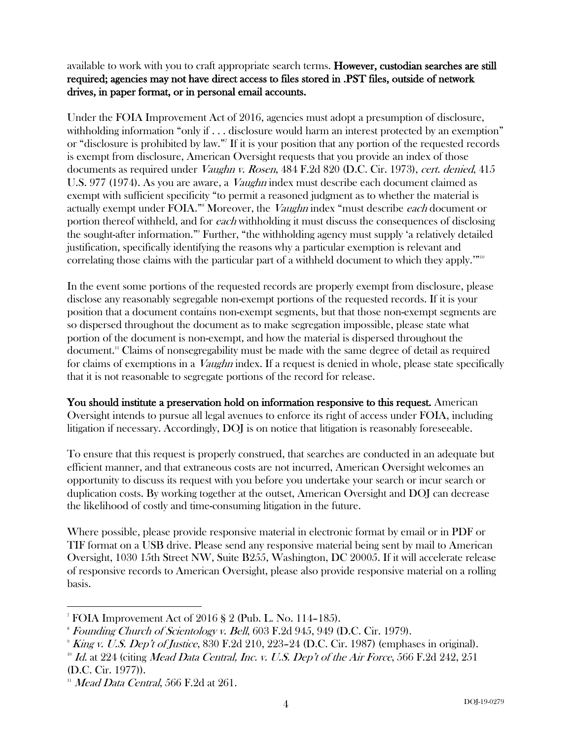available to work with you to craft appropriate search terms. However, custodian searches are still required; agencies may not have direct access to files stored in .PST files, outside of network drives, in paper format, or in personal email accounts.

Under the FOIA Improvement Act of 2016, agencies must adopt a presumption of disclosure, withholding information "only if . . . disclosure would harm an interest protected by an exemption" or "disclosure is prohibited by law."7 If it is your position that any portion of the requested records is exempt from disclosure, American Oversight requests that you provide an index of those documents as required under *Vaughn v. Rosen*, 484 F.2d 820 (D.C. Cir. 1973), *cert. denied*, 415 U.S. 977 (1974). As you are aware, a *Vaughn* index must describe each document claimed as exempt with sufficient specificity "to permit a reasoned judgment as to whether the material is actually exempt under FOIA."<sup>8</sup> Moreover, the *Vaughn* index "must describe each document or portion thereof withheld, and for each withholding it must discuss the consequences of disclosing the sought-after information."9 Further, "the withholding agency must supply 'a relatively detailed justification, specifically identifying the reasons why a particular exemption is relevant and correlating those claims with the particular part of a withheld document to which they apply.'"<sup>10</sup>

In the event some portions of the requested records are properly exempt from disclosure, please disclose any reasonably segregable non-exempt portions of the requested records. If it is your position that a document contains non-exempt segments, but that those non-exempt segments are so dispersed throughout the document as to make segregation impossible, please state what portion of the document is non-exempt, and how the material is dispersed throughout the document.11 Claims of nonsegregability must be made with the same degree of detail as required for claims of exemptions in a *Vaughn* index. If a request is denied in whole, please state specifically that it is not reasonable to segregate portions of the record for release.

You should institute a preservation hold on information responsive to this request. American Oversight intends to pursue all legal avenues to enforce its right of access under FOIA, including litigation if necessary. Accordingly, DOJ is on notice that litigation is reasonably foreseeable.

To ensure that this request is properly construed, that searches are conducted in an adequate but efficient manner, and that extraneous costs are not incurred, American Oversight welcomes an opportunity to discuss its request with you before you undertake your search or incur search or duplication costs. By working together at the outset, American Oversight and DOJ can decrease the likelihood of costly and time-consuming litigation in the future.

Where possible, please provide responsive material in electronic format by email or in PDF or TIF format on a USB drive. Please send any responsive material being sent by mail to American Oversight, 1030 15th Street NW, Suite B255, Washington, DC 20005. If it will accelerate release of responsive records to American Oversight, please also provide responsive material on a rolling basis.

 $\overline{a}$ <sup>7</sup> FOIA Improvement Act of  $2016 \text{ s } 2$  (Pub. L. No. 114–185).

<sup>8</sup> Founding Church of Scientology v. Bell, 603 F.2d 945, 949 (D.C. Cir. 1979).

 $\mu$  King v. U.S. Dep't of Justice, 830 F.2d 210, 223–24 (D.C. Cir. 1987) (emphases in original).

<sup>&</sup>lt;sup>10</sup> Id. at 224 (citing Mead Data Central, Inc. v. U.S. Dep't of the Air Force, 566 F.2d 242, 251 (D.C. Cir. 1977)).

 $11$  *Mead Data Central*, 566 F.2d at 261.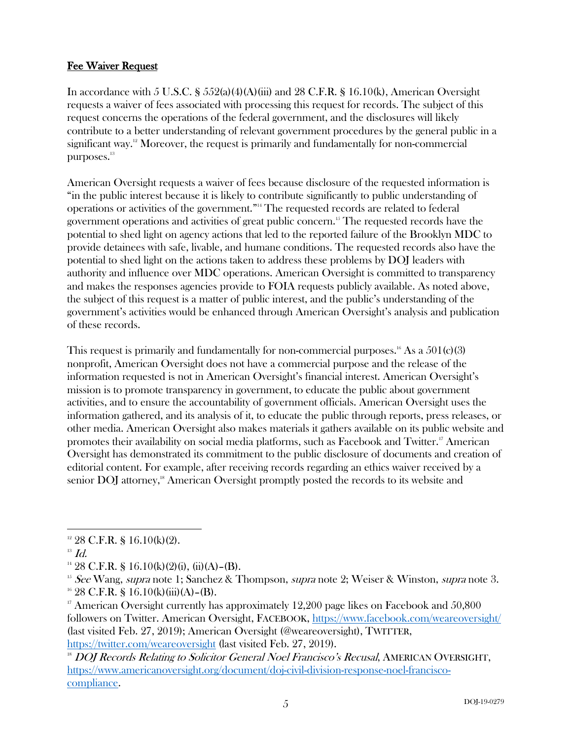## Fee Waiver Request

In accordance with 5 U.S.C. §  $552(a)(4)(A)(iii)$  and 28 C.F.R. § 16.10(k), American Oversight requests a waiver of fees associated with processing this request for records. The subject of this request concerns the operations of the federal government, and the disclosures will likely contribute to a better understanding of relevant government procedures by the general public in a significant way.<sup>12</sup> Moreover, the request is primarily and fundamentally for non-commercial purposes.<sup>13</sup>

American Oversight requests a waiver of fees because disclosure of the requested information is "in the public interest because it is likely to contribute significantly to public understanding of operations or activities of the government."14 The requested records are related to federal government operations and activities of great public concern. <sup>15</sup> The requested records have the potential to shed light on agency actions that led to the reported failure of the Brooklyn MDC to provide detainees with safe, livable, and humane conditions. The requested records also have the potential to shed light on the actions taken to address these problems by DOJ leaders with authority and influence over MDC operations. American Oversight is committed to transparency and makes the responses agencies provide to FOIA requests publicly available. As noted above, the subject of this request is a matter of public interest, and the public's understanding of the government's activities would be enhanced through American Oversight's analysis and publication of these records.

This request is primarily and fundamentally for non-commercial purposes.<sup>16</sup> As a  $501(c)(3)$ nonprofit, American Oversight does not have a commercial purpose and the release of the information requested is not in American Oversight's financial interest. American Oversight's mission is to promote transparency in government, to educate the public about government activities, and to ensure the accountability of government officials. American Oversight uses the information gathered, and its analysis of it, to educate the public through reports, press releases, or other media. American Oversight also makes materials it gathers available on its public website and promotes their availability on social media platforms, such as Facebook and Twitter.<sup>17</sup> American Oversight has demonstrated its commitment to the public disclosure of documents and creation of editorial content. For example, after receiving records regarding an ethics waiver received by a senior DOJ attorney,<sup>18</sup> American Oversight promptly posted the records to its website and

<sup>17</sup> American Oversight currently has approximately 12,200 page likes on Facebook and  $50,800$ followers on Twitter. American Oversight, FACEBOOK, https://www.facebook.com/weareoversight/ (last visited Feb. 27, 2019); American Oversight (@weareoversight), TWITTER, https://twitter.com/weareoversight (last visited Feb. 27, 2019).

 $\overline{a}$  $12$  28 C.F.R. § 16.10(k)(2).

 $13$   $Id.$ 

<sup>&</sup>lt;sup>14</sup> 28 C.F.R. § 16.10(k)(2)(i), (ii)(A)–(B).

<sup>&</sup>lt;sup>15</sup> See Wang, supra note 1; Sanchez & Thompson, supra note 2; Weiser & Winston, supra note 3.  $16$  28 C.F.R. § 16.10(k)(iii)(A)–(B).

<sup>&</sup>lt;sup>18</sup> DOJ Records Relating to Solicitor General Noel Francisco's Recusal, AMERICAN OVERSIGHT, https://www.americanoversight.org/document/doj-civil-division-response-noel-franciscocompliance.